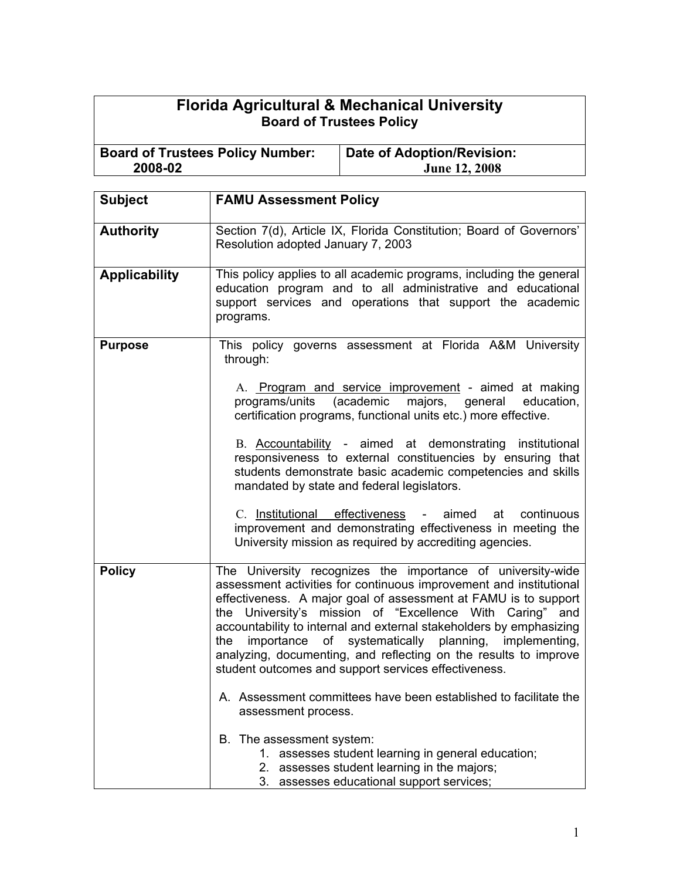## **Florida Agricultural & Mechanical University Board of Trustees Policy**

**Board of Trustees Policy Number: 2008-02 Date of Adoption/Revision: June 12, 2008**

| <b>Subject</b>       | <b>FAMU Assessment Policy</b>                                                                                                                                                                                                                                                                                                                                                                                                                                                                                                      |
|----------------------|------------------------------------------------------------------------------------------------------------------------------------------------------------------------------------------------------------------------------------------------------------------------------------------------------------------------------------------------------------------------------------------------------------------------------------------------------------------------------------------------------------------------------------|
| <b>Authority</b>     | Section 7(d), Article IX, Florida Constitution; Board of Governors'<br>Resolution adopted January 7, 2003                                                                                                                                                                                                                                                                                                                                                                                                                          |
| <b>Applicability</b> | This policy applies to all academic programs, including the general<br>education program and to all administrative and educational<br>support services and operations that support the academic<br>programs.                                                                                                                                                                                                                                                                                                                       |
| <b>Purpose</b>       | This policy governs assessment at Florida A&M University<br>through:<br>A. Program and service improvement - aimed at making                                                                                                                                                                                                                                                                                                                                                                                                       |
|                      | (academic<br>programs/units<br>majors, general<br>education,<br>certification programs, functional units etc.) more effective.                                                                                                                                                                                                                                                                                                                                                                                                     |
|                      | B. Accountability - aimed at demonstrating institutional<br>responsiveness to external constituencies by ensuring that<br>students demonstrate basic academic competencies and skills<br>mandated by state and federal legislators.                                                                                                                                                                                                                                                                                                |
|                      | C. Institutional effectiveness - aimed at continuous<br>improvement and demonstrating effectiveness in meeting the<br>University mission as required by accrediting agencies.                                                                                                                                                                                                                                                                                                                                                      |
| <b>Policy</b>        | The University recognizes the importance of university-wide<br>assessment activities for continuous improvement and institutional<br>effectiveness. A major goal of assessment at FAMU is to support<br>the University's mission of "Excellence With Caring" and<br>accountability to internal and external stakeholders by emphasizing<br>importance of systematically planning, implementing,<br>the<br>analyzing, documenting, and reflecting on the results to improve<br>student outcomes and support services effectiveness. |
|                      | A. Assessment committees have been established to facilitate the<br>assessment process.                                                                                                                                                                                                                                                                                                                                                                                                                                            |
|                      | B. The assessment system:<br>1. assesses student learning in general education;<br>2. assesses student learning in the majors;<br>3. assesses educational support services;                                                                                                                                                                                                                                                                                                                                                        |